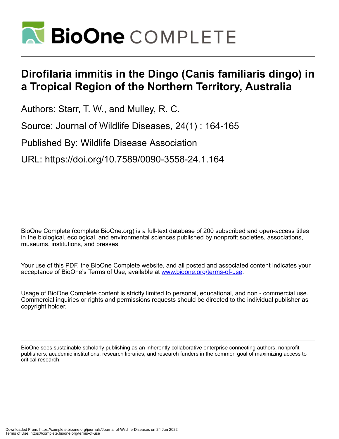

## **Dirofilaria immitis in the Dingo (Canis familiaris dingo) in a Tropical Region of the Northern Territory, Australia**

Authors: Starr, T. W., and Mulley, R. C.

Source: Journal of Wildlife Diseases, 24(1) : 164-165

Published By: Wildlife Disease Association

URL: https://doi.org/10.7589/0090-3558-24.1.164

BioOne Complete (complete.BioOne.org) is a full-text database of 200 subscribed and open-access titles in the biological, ecological, and environmental sciences published by nonprofit societies, associations, museums, institutions, and presses.

Your use of this PDF, the BioOne Complete website, and all posted and associated content indicates your acceptance of BioOne's Terms of Use, available at www.bioone.org/terms-of-use.

Usage of BioOne Complete content is strictly limited to personal, educational, and non - commercial use. Commercial inquiries or rights and permissions requests should be directed to the individual publisher as copyright holder.

BioOne sees sustainable scholarly publishing as an inherently collaborative enterprise connecting authors, nonprofit publishers, academic institutions, research libraries, and research funders in the common goal of maximizing access to critical research.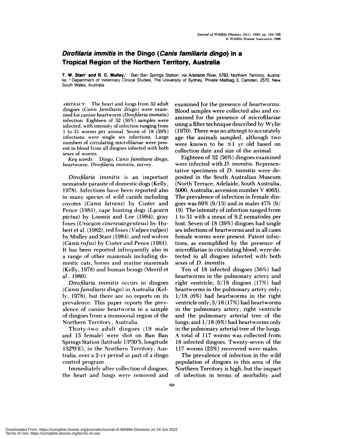## **Dirofilaria immitis in the Dingo (Canis familiaris dingo) in a Tropical Region of the Northern Territory, Australia**

**T. W.** Starr' **and R. C. MuIIey,2** ' Ban Ban Springs Station, via Adelaide River, 5783, Northern Territory, Austraha; **<sup>2</sup>** Department of Veterinary Clinical Studies, The University of Sydney, Private Mailbag 3, Camden, 2570, New South Wales, Australia

**ABSTRACT:** The heart and lungs from 32 adult dingoes *(Canis famihiaris dingo)* were exam med for canine heartworm *(Dirofilaria imrnitis)* infection. Eighteen of 32 (56%) samples were infected, with intensity of infection ranging from 1 to 31 worms per animal. Seven of18 (39%) infections were single sex infections. Large numbers of circulating microfilariae were present in blood from all dingoes infected with both sexes of worms.

*Key words:* Dingo, *Canis farnihiaris dingo,* heartworm, *Dirofilaria immitis,* **survey.**

*Dirofilaria immitis* **is an** important nematode parasite of domestic dogs (Kelly, 1978). Infections have been reported also in many species of wild canids including coyotes *(Canis latrans)* by Custer and Pence (1981), cape hunting dogs *(Lycaen pictus)* by Loomis and Lee (1984), gray foxes *(Urocyon cinereoargenteus)* by Hubert et al. (1982), red foxes *(Vulpes vu! pes)* by Mulley and Starr (1984), and red wolves *(Canis rufus)* by Custer and Pence (1981). It has been reported infrequently also in a range of other mammals including domestic cats, horses and marine mammals (Kelly, 1978) and human beings (Merril et al., 1980).

*Dirofilaria imrnitis* occurs in dingoes *(Canisfami!iaris dingo)* in Australia (Kelly, 1978), but there are no reports on its prevalence. This paper reports the preyalence of canine heartworm in a sample of dingoes from a monsoonal region of the Northern Territory, Australia.

Thirty-two adult dingoes (19 male and 13 female) were shot on Ban Ban Springs Station (latitude 13°30'S, longitude  $132^{\circ}0'E$ ), in the Northern Territory, Australia, over a 2-yr period as part of a dingo control program.

Immediately after collection of dingoes, the heart and lungs were removed and examined for the presence of heartworms. Blood samples were collected also and ex amined for the presence of microfilariae using a filter technique described by Wylie (1970). There was no attempt to accurately age the animals sampled, although two were known to be  $\leq 1$  yr old based on collection date and size of the animal.

Eighteen of 32 (56%) dingoes examined were infected with *D. immitis.* Representative specimens of *D. imrnitis* were deposited in the South Australian Museum (North Terrace, Adelaide, South Australia, 5000, Australia; accession number V 4065). The prevalence of infection in female dingoes was  $69\%$  (9/13) and in males 47\% (9/ 19). The intensity of infection ranged from 1 to 31 with a mean of 9.2 nematodes per host. Seven of 18 (39%) dingoes had single sex infections of heartworms and in all cases female worms were present. Patent infections, as exemplified by the presence of microfilariae in circulating blood, were detected in all dingoes infected with both sexes of *D. immitis.*

Ten of 18 infected dingoes (56%) had heartworms in the pulmonary artery and right ventricle; 3/18 dingoes (17%) had heartworms in the pulmonary artery only; 1/18 (6%) had heartworms in the right ventricle only; 3/18 (17%) had heartworms in the pulmonary artery, right ventricle and the pulmonary arterial tree of the lungs; and 1/18 (6%) had heartworms only in the pulmonary arterial tree of the lungs. A total of 117 worms was collected from 18 infected dingoes. Twenty-seven of the 117 worms (23%) recovered were males.

The prevalence of infection in the wild population of dingoes in this area of the Northern Territory is high, but the impact of infection in terms of morbidity and